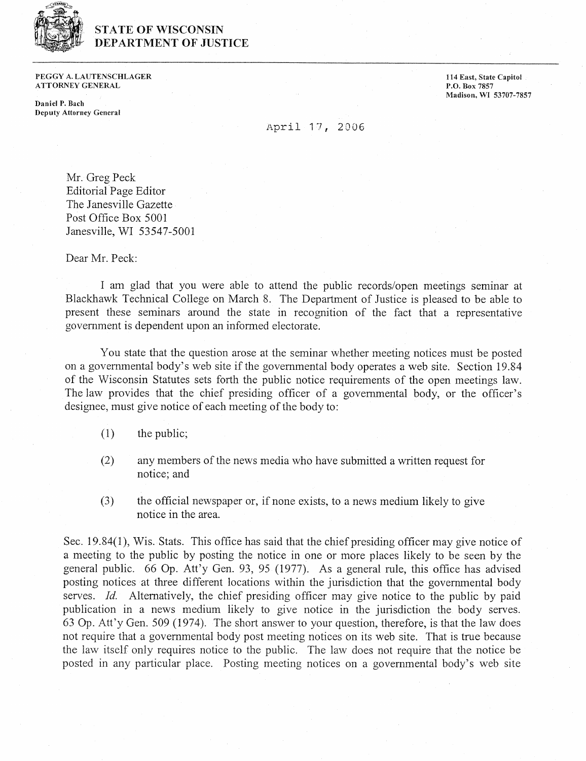

## **STATE OF WISCONSIN** DEPARTMENT OF JUSTICE

PEGGY **A. LAUTENSCHLAGER**  ATTORNEY **GENERAL** 

**Daniel 1'. Bach Deputy Attorney General**  **114 East, State Capitol** P.O. **Box 7857 Madison, WI 53707-7857** 

## April 17, 2006

Mr. Greg Peck Editorial Page Editor The Janesville Gazette Post Office Box 5001 Janesville, WI 53547-5001

Dear Mr. Peck:

I am glad that you were able to attend the public records/open meetings seminar at Blackhawk Technical College on March 8. The Department of Justice is pleased to be able to present these seminars around the state in recognition of the fact that a representative government is dependent upon an informed electorate.

You state that the question arose at the seminar whether meeting notices must be posted on a governmental body's web site if the govemmental body operates a web site. Section 19.84 of the Wisconsin Statutes sets forth the public notice requirements of the open meetings law. The law provides that the chief presiding officer of a governmental body, or the officer's designee, must give notice of each meeting of the body to:

- $(1)$  the public;
- (2) any members of the news media who have submitted a written request for notice; and
- (3) the official newspaper or, if none exists, to a news medium likely to give notice in the area.

Sec. 19.84(1), Wis. Stats. This office has said that the chief presiding officer may give notice of a meeting to the public by posting the notice in one or more places likely to be seen by the general public. 66 Op. Att'y Gen. 93, 95 (1977). As a general rule, this office has advised posting notices at three different locations within the jurisdiction that the governmental body serves. *Id.* Alternatively, the chief presiding officer may give notice to the public by paid publication in a news medium likely to give notice in the jurisdiction the body serves. p. Att'y Gen. 509 (1974). The short answer to your question, therefore, is that the law does not require that a governmental body post meeting notices on its web site. That is true because the law itself only requires notice to the public. The law does not require that the notice be posted in any particular place. Posting meeting notices on a governmental body's web site